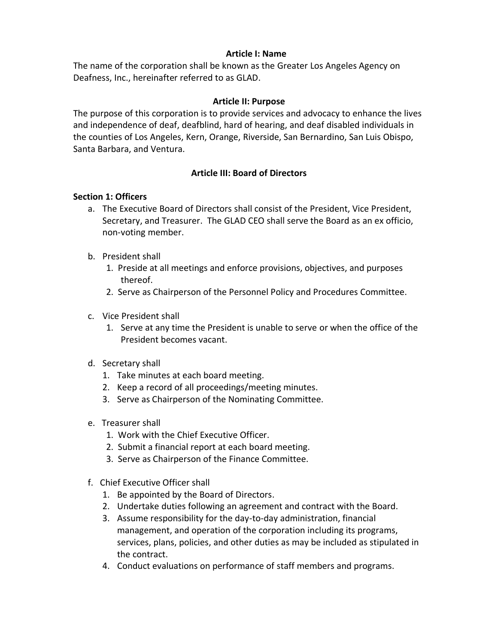### **Article I: Name**

The name of the corporation shall be known as the Greater Los Angeles Agency on Deafness, Inc., hereinafter referred to as GLAD.

# **Article II: Purpose**

The purpose of this corporation is to provide services and advocacy to enhance the lives and independence of deaf, deafblind, hard of hearing, and deaf disabled individuals in the counties of Los Angeles, Kern, Orange, Riverside, San Bernardino, San Luis Obispo, Santa Barbara, and Ventura.

### **Article III: Board of Directors**

### **Section 1: Officers**

- a. The Executive Board of Directors shall consist of the President, Vice President, Secretary, and Treasurer. The GLAD CEO shall serve the Board as an ex officio, non-voting member.
- b. President shall
	- 1. Preside at all meetings and enforce provisions, objectives, and purposes thereof.
	- 2. Serve as Chairperson of the Personnel Policy and Procedures Committee.
- c. Vice President shall
	- 1. Serve at any time the President is unable to serve or when the office of the President becomes vacant.
- d. Secretary shall
	- 1. Take minutes at each board meeting.
	- 2. Keep a record of all proceedings/meeting minutes.
	- 3. Serve as Chairperson of the Nominating Committee.
- e. Treasurer shall
	- 1. Work with the Chief Executive Officer.
	- 2. Submit a financial report at each board meeting.
	- 3. Serve as Chairperson of the Finance Committee.
- f. Chief Executive Officer shall
	- 1. Be appointed by the Board of Directors.
	- 2. Undertake duties following an agreement and contract with the Board.
	- 3. Assume responsibility for the day-to-day administration, financial management, and operation of the corporation including its programs, services, plans, policies, and other duties as may be included as stipulated in the contract.
	- 4. Conduct evaluations on performance of staff members and programs.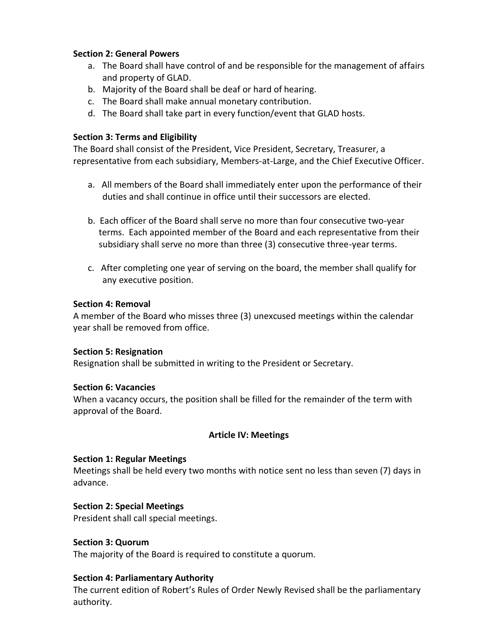# **Section 2: General Powers**

- a. The Board shall have control of and be responsible for the management of affairs and property of GLAD.
- b. Majority of the Board shall be deaf or hard of hearing.
- c. The Board shall make annual monetary contribution.
- d. The Board shall take part in every function/event that GLAD hosts.

### **Section 3: Terms and Eligibility**

The Board shall consist of the President, Vice President, Secretary, Treasurer, a representative from each subsidiary, Members-at-Large, and the Chief Executive Officer.

- a. All members of the Board shall immediately enter upon the performance of their duties and shall continue in office until their successors are elected.
- b. Each officer of the Board shall serve no more than four consecutive two-year terms. Each appointed member of the Board and each representative from their subsidiary shall serve no more than three (3) consecutive three-year terms.
- c. After completing one year of serving on the board, the member shall qualify for any executive position.

### **Section 4: Removal**

A member of the Board who misses three (3) unexcused meetings within the calendar year shall be removed from office.

### **Section 5: Resignation**

Resignation shall be submitted in writing to the President or Secretary.

### **Section 6: Vacancies**

When a vacancy occurs, the position shall be filled for the remainder of the term with approval of the Board.

### **Article IV: Meetings**

### **Section 1: Regular Meetings**

Meetings shall be held every two months with notice sent no less than seven (7) days in advance.

### **Section 2: Special Meetings**

President shall call special meetings.

### **Section 3: Quorum**

The majority of the Board is required to constitute a quorum.

#### **Section 4: Parliamentary Authority**

The current edition of Robert's Rules of Order Newly Revised shall be the parliamentary authority.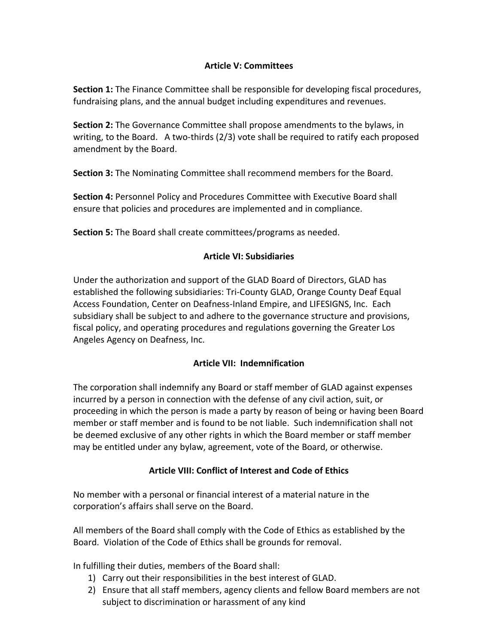# **Article V: Committees**

**Section 1:** The Finance Committee shall be responsible for developing fiscal procedures, fundraising plans, and the annual budget including expenditures and revenues.

**Section 2:** The Governance Committee shall propose amendments to the bylaws, in writing, to the Board. A two-thirds (2/3) vote shall be required to ratify each proposed amendment by the Board.

**Section 3:** The Nominating Committee shall recommend members for the Board.

**Section 4:** Personnel Policy and Procedures Committee with Executive Board shall ensure that policies and procedures are implemented and in compliance.

**Section 5:** The Board shall create committees/programs as needed.

# **Article VI: Subsidiaries**

Under the authorization and support of the GLAD Board of Directors, GLAD has established the following subsidiaries: Tri-County GLAD, Orange County Deaf Equal Access Foundation, Center on Deafness-Inland Empire, and LIFESIGNS, Inc. Each subsidiary shall be subject to and adhere to the governance structure and provisions, fiscal policy, and operating procedures and regulations governing the Greater Los Angeles Agency on Deafness, Inc.

# **Article VII: Indemnification**

The corporation shall indemnify any Board or staff member of GLAD against expenses incurred by a person in connection with the defense of any civil action, suit, or proceeding in which the person is made a party by reason of being or having been Board member or staff member and is found to be not liable. Such indemnification shall not be deemed exclusive of any other rights in which the Board member or staff member may be entitled under any bylaw, agreement, vote of the Board, or otherwise.

# **Article VIII: Conflict of Interest and Code of Ethics**

No member with a personal or financial interest of a material nature in the corporation's affairs shall serve on the Board.

All members of the Board shall comply with the Code of Ethics as established by the Board. Violation of the Code of Ethics shall be grounds for removal.

In fulfilling their duties, members of the Board shall:

- 1) Carry out their responsibilities in the best interest of GLAD.
- 2) Ensure that all staff members, agency clients and fellow Board members are not subject to discrimination or harassment of any kind